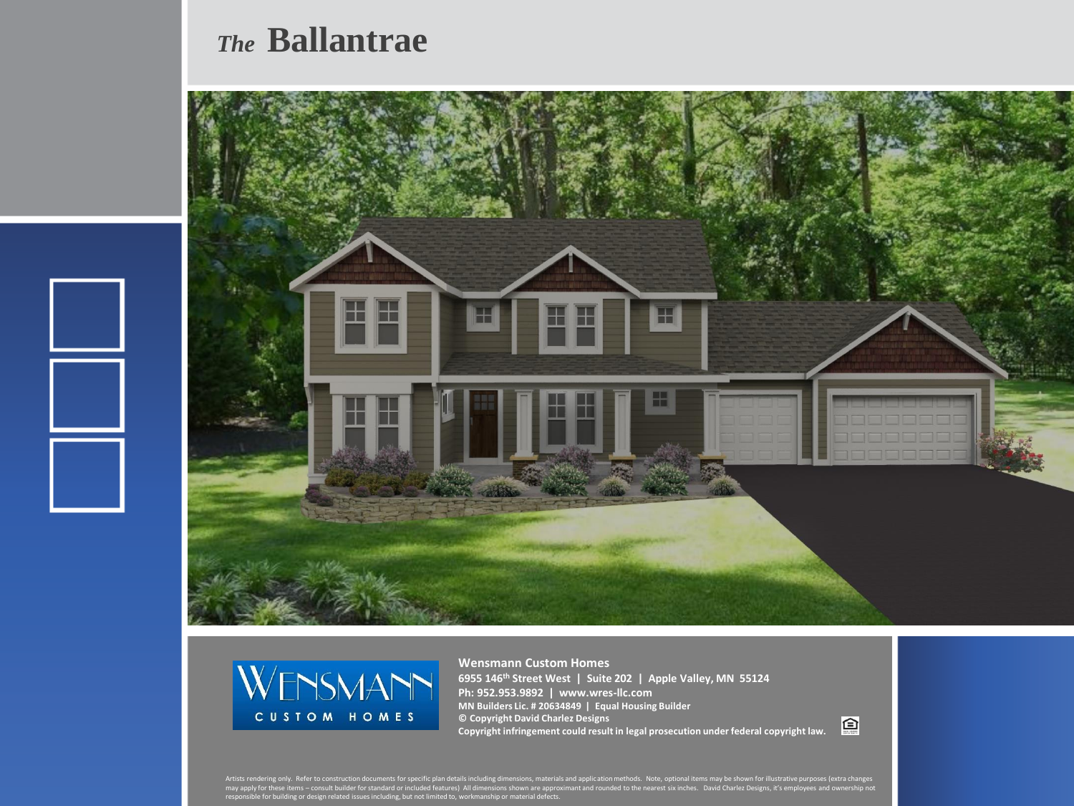## *The* **Ballantrae**





**Wensmann Custom Homes 6955 146th Street West | Suite 202 | Apple Valley, MN 55124 Ph: 952.953.9892 | www.wres-llc.com MN Builders Lic. # 20634849 | Equal Housing Builder © Copyright David Charlez Designs Copyright infringement could result in legal prosecution under federal copyright law.**

回

Artists rendering only. Refer to construction documents for specific plan details including dimensions, materials and application methods. Note, optional items may be shown for illustrative purposes (extra changes<br>may appl